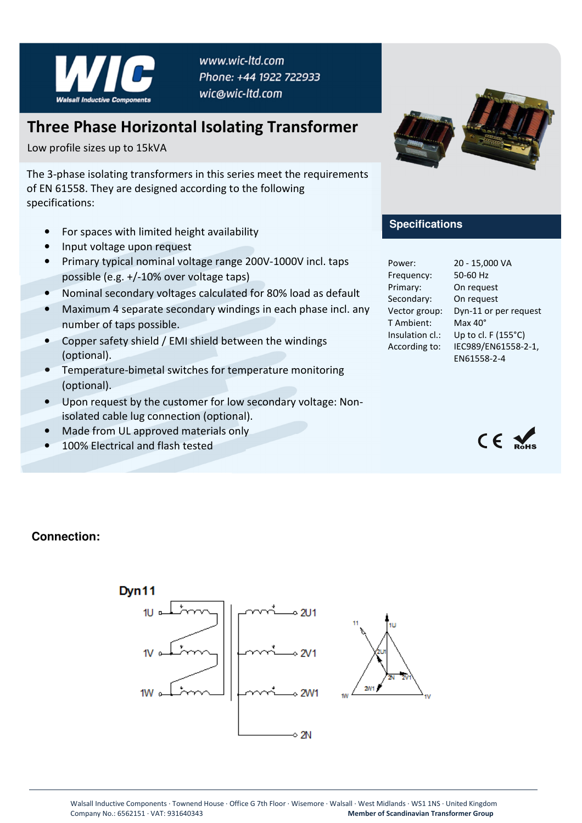

www.wic-ltd.com Phone: +44 1922 722933 wic@wic-ltd.com

## **Three Phase Horizontal Isolating Transformer**

Low profile sizes up to 15kVA

The 3-phase isolating transformers in this series meet the requirements of EN 61558. They are designed according to the following specifications:

- For spaces with limited height availability
- Input voltage upon request
- Primary typical nominal voltage range 200V-1000V incl. taps possible (e.g. +/-10% over voltage taps)
- Nominal secondary voltages calculated for 80% load as default
- Maximum 4 separate secondary windings in each phase incl. any number of taps possible.
- Copper safety shield / EMI shield between the windings (optional).
- Temperature-bimetal switches for temperature monitoring (optional).
- Upon request by the customer for low secondary voltage: Nonisolated cable lug connection (optional).
- Made from UL approved materials only
- 100% Electrical and flash tested



## **Specifications**

| Power:          | 20 - 15,000 VA        |
|-----------------|-----------------------|
| Frequency:      | 50-60 Hz              |
| Primary:        | On request            |
| Secondary:      | On request            |
| Vector group:   | Dyn-11 or per request |
| T Ambient:      | $Max 40^\circ$        |
| Insulation cl.: | Up to cl. F (155°C)   |
| According to:   | IEC989/EN61558-2-1,   |
|                 | EN61558-2-4           |
|                 |                       |



## **Connection:**